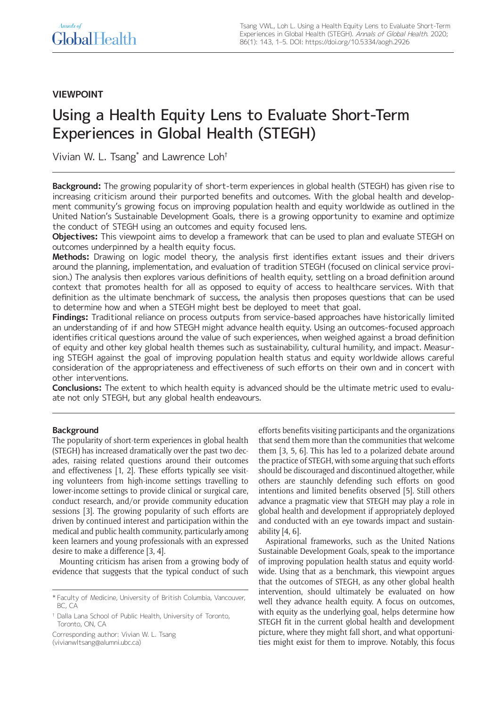# **VIEWPOINT**

# Using a Health Equity Lens to Evaluate Short-Term Experiences in Global Health (STEGH)

Vivian W. L. Tsang\* and Lawrence Loh†

**Background:** The growing popularity of short-term experiences in global health (STEGH) has given rise to increasing criticism around their purported benefits and outcomes. With the global health and development community's growing focus on improving population health and equity worldwide as outlined in the United Nation's Sustainable Development Goals, there is a growing opportunity to examine and optimize the conduct of STEGH using an outcomes and equity focused lens.

**Objectives:** This viewpoint aims to develop a framework that can be used to plan and evaluate STEGH on outcomes underpinned by a health equity focus.

**Methods:** Drawing on logic model theory, the analysis first identifies extant issues and their drivers around the planning, implementation, and evaluation of tradition STEGH (focused on clinical service provision.) The analysis then explores various definitions of health equity, settling on a broad definition around context that promotes health for all as opposed to equity of access to healthcare services. With that definition as the ultimate benchmark of success, the analysis then proposes questions that can be used to determine how and when a STEGH might best be deployed to meet that goal.

**Findings:** Traditional reliance on process outputs from service-based approaches have historically limited an understanding of if and how STEGH might advance health equity. Using an outcomes-focused approach identifies critical questions around the value of such experiences, when weighed against a broad definition of equity and other key global health themes such as sustainability, cultural humility, and impact. Measuring STEGH against the goal of improving population health status and equity worldwide allows careful consideration of the appropriateness and effectiveness of such efforts on their own and in concert with other interventions.

**Conclusions:** The extent to which health equity is advanced should be the ultimate metric used to evaluate not only STEGH, but any global health endeavours.

# **Background**

The popularity of short-term experiences in global health (STEGH) has increased dramatically over the past two decades, raising related questions around their outcomes and effectiveness [1, 2]. These efforts typically see visiting volunteers from high-income settings travelling to lower-income settings to provide clinical or surgical care, conduct research, and/or provide community education sessions [3]. The growing popularity of such efforts are driven by continued interest and participation within the medical and public health community, particularly among keen learners and young professionals with an expressed desire to make a difference [3, 4].

Mounting criticism has arisen from a growing body of evidence that suggests that the typical conduct of such

Corresponding author: Vivian W. L. Tsang [\(vivianwltsang@alumni.ubc.ca](mailto:vivianwltsang@alumni.ubc.ca))

efforts benefits visiting participants and the organizations that send them more than the communities that welcome them [3, 5, 6]. This has led to a polarized debate around the practice of STEGH, with some arguing that such efforts should be discouraged and discontinued altogether, while others are staunchly defending such efforts on good intentions and limited benefits observed [5]. Still others advance a pragmatic view that STEGH may play a role in global health and development if appropriately deployed and conducted with an eye towards impact and sustainability [4, 6].

Aspirational frameworks, such as the United Nations Sustainable Development Goals, speak to the importance of improving population health status and equity worldwide. Using that as a benchmark, this viewpoint argues that the outcomes of STEGH, as any other global health intervention, should ultimately be evaluated on how well they advance health equity. A focus on outcomes, with equity as the underlying goal, helps determine how STEGH fit in the current global health and development picture, where they might fall short, and what opportunities might exist for them to improve. Notably, this focus

<sup>\*</sup> Faculty of Medicine, University of British Columbia, Vancouver, BC, CA

<sup>†</sup> Dalla Lana School of Public Health, University of Toronto, Toronto, ON, CA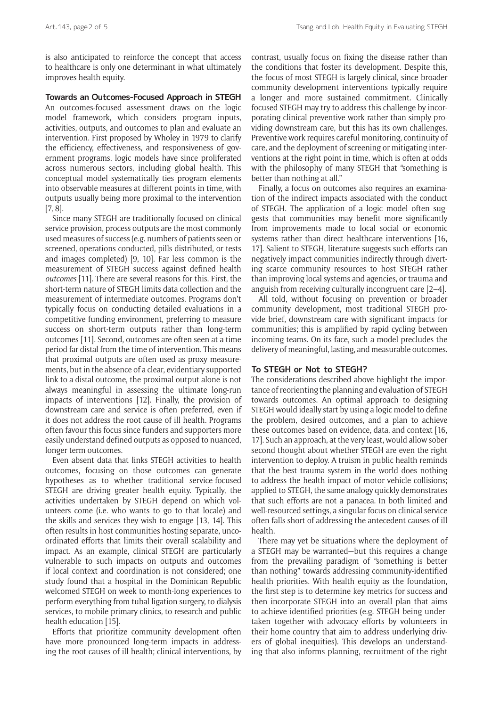is also anticipated to reinforce the concept that access to healthcare is only one determinant in what ultimately improves health equity.

# **Towards an Outcomes-Focused Approach in STEGH**

An outcomes-focused assessment draws on the logic model framework, which considers program inputs, activities, outputs, and outcomes to plan and evaluate an intervention. First proposed by Wholey in 1979 to clarify the efficiency, effectiveness, and responsiveness of government programs, logic models have since proliferated across numerous sectors, including global health. This conceptual model systematically ties program elements into observable measures at different points in time, with outputs usually being more proximal to the intervention [7, 8].

Since many STEGH are traditionally focused on clinical service provision, process outputs are the most commonly used measures of success (e.g. numbers of patients seen or screened, operations conducted, pills distributed, or tests and images completed) [9, 10]. Far less common is the measurement of STEGH success against defined health *outcomes* [11]. There are several reasons for this. First, the short-term nature of STEGH limits data collection and the measurement of intermediate outcomes. Programs don't typically focus on conducting detailed evaluations in a competitive funding environment, preferring to measure success on short-term outputs rather than long-term outcomes [11]. Second, outcomes are often seen at a time period far distal from the time of intervention. This means that proximal outputs are often used as proxy measurements, but in the absence of a clear, evidentiary supported link to a distal outcome, the proximal output alone is not always meaningful in assessing the ultimate long-run impacts of interventions [12]. Finally, the provision of downstream care and service is often preferred, even if it does not address the root cause of ill health. Programs often favour this focus since funders and supporters more easily understand defined outputs as opposed to nuanced, longer term outcomes.

Even absent data that links STEGH activities to health outcomes, focusing on those outcomes can generate hypotheses as to whether traditional service-focused STEGH are driving greater health equity. Typically, the activities undertaken by STEGH depend on which volunteers come (i.e. who wants to go to that locale) and the skills and services they wish to engage [13, 14]. This often results in host communities hosting separate, uncoordinated efforts that limits their overall scalability and impact. As an example, clinical STEGH are particularly vulnerable to such impacts on outputs and outcomes if local context and coordination is not considered; one study found that a hospital in the Dominican Republic welcomed STEGH on week to month-long experiences to perform everything from tubal ligation surgery, to dialysis services, to mobile primary clinics, to research and public health education [15].

Efforts that prioritize community development often have more pronounced long-term impacts in addressing the root causes of ill health; clinical interventions, by contrast, usually focus on fixing the disease rather than the conditions that foster its development. Despite this, the focus of most STEGH is largely clinical, since broader community development interventions typically require a longer and more sustained commitment. Clinically focused STEGH may try to address this challenge by incorporating clinical preventive work rather than simply providing downstream care, but this has its own challenges. Preventive work requires careful monitoring, continuity of care, and the deployment of screening or mitigating interventions at the right point in time, which is often at odds with the philosophy of many STEGH that "something is better than nothing at all."

Finally, a focus on outcomes also requires an examination of the indirect impacts associated with the conduct of STEGH. The application of a logic model often suggests that communities may benefit more significantly from improvements made to local social or economic systems rather than direct healthcare interventions [16, 17]. Salient to STEGH, literature suggests such efforts can negatively impact communities indirectly through diverting scarce community resources to host STEGH rather than improving local systems and agencies, or trauma and anguish from receiving culturally incongruent care [2–4].

All told, without focusing on prevention or broader community development, most traditional STEGH provide brief, downstream care with significant impacts for communities; this is amplified by rapid cycling between incoming teams. On its face, such a model precludes the delivery of meaningful, lasting, and measurable outcomes.

# **To STEGH or Not to STEGH?**

The considerations described above highlight the importance of reorienting the planning and evaluation of STEGH towards outcomes. An optimal approach to designing STEGH would ideally start by using a logic model to define the problem, desired outcomes, and a plan to achieve these outcomes based on evidence, data, and context [16, 17]. Such an approach, at the very least, would allow sober second thought about whether STEGH are even the right intervention to deploy. A truism in public health reminds that the best trauma system in the world does nothing to address the health impact of motor vehicle collisions; applied to STEGH, the same analogy quickly demonstrates that such efforts are not a panacea. In both limited and well-resourced settings, a singular focus on clinical service often falls short of addressing the antecedent causes of ill health.

There may yet be situations where the deployment of a STEGH may be warranted—but this requires a change from the prevailing paradigm of "something is better than nothing" towards addressing community-identified health priorities. With health equity as the foundation, the first step is to determine key metrics for success and then incorporate STEGH into an overall plan that aims to achieve identified priorities (e.g. STEGH being undertaken together with advocacy efforts by volunteers in their home country that aim to address underlying drivers of global inequities). This develops an understanding that also informs planning, recruitment of the right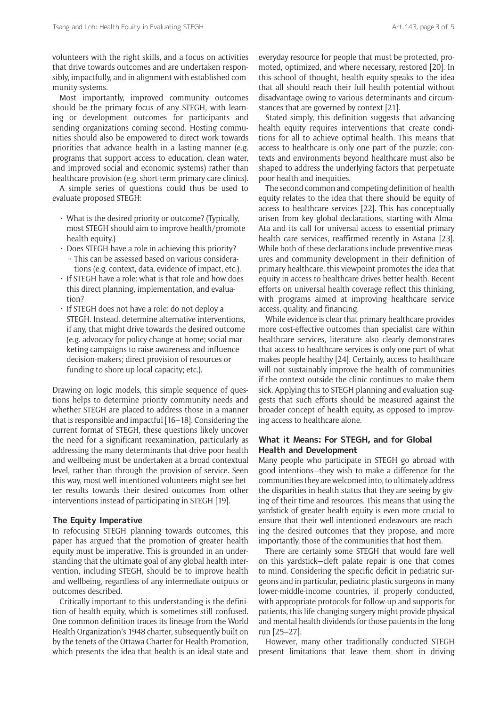volunteers with the right skills, and a focus on activities that drive towards outcomes and are undertaken responsibly, impactfully, and in alignment with established community systems.

Most importantly, improved community outcomes should be the primary focus of any STEGH, with learning or development outcomes for participants and sending organizations coming second. Hosting communities should also be empowered to direct work towards priorities that advance health in a lasting manner (e.g. programs that support access to education, clean water, and improved social and economic systems) rather than healthcare provision (e.g. short-term primary care clinics).

A simple series of questions could thus be used to evaluate proposed STEGH:

- $\cdot$  What is the desired priority or outcome? (Typically, most STEGH should aim to improve health/promote health equity.)
- $\cdot$  Does STEGH have a role in achieving this priority? ° This can be assessed based on various considerations (e.g. context, data, evidence of impact, etc.).
- If STEGH have a role: what is that role and how does this direct planning, implementation, and evaluation?
- If STEGH does not have a role: do not deploy a STEGH. Instead, determine alternative interventions, if any, that might drive towards the desired outcome (e.g. advocacy for policy change at home; social marketing campaigns to raise awareness and influence decision-makers; direct provision of resources or funding to shore up local capacity; etc.).

Drawing on logic models, this simple sequence of questions helps to determine priority community needs and whether STEGH are placed to address those in a manner that is responsible and impactful [16–18]. Considering the current format of STEGH, these questions likely uncover the need for a significant reexamination, particularly as addressing the many determinants that drive poor health and wellbeing must be undertaken at a broad contextual level, rather than through the provision of service. Seen this way, most well-intentioned volunteers might see better results towards their desired outcomes from other interventions instead of participating in STEGH [19].

#### **The Equity Imperative**

In refocusing STEGH planning towards outcomes, this paper has argued that the promotion of greater health equity must be imperative. This is grounded in an understanding that the ultimate goal of any global health intervention, including STEGH, should be to improve health and wellbeing, regardless of any intermediate outputs or outcomes described.

Critically important to this understanding is the definition of health equity, which is sometimes still confused. One common definition traces its lineage from the World Health Organization's 1948 charter, subsequently built on by the tenets of the Ottawa Charter for Health Promotion, which presents the idea that health is an ideal state and everyday resource for people that must be protected, promoted, optimized, and where necessary, restored [20]. In this school of thought, health equity speaks to the idea that all should reach their full health potential without disadvantage owing to various determinants and circumstances that are governed by context [21].

Stated simply, this definition suggests that advancing health equity requires interventions that create conditions for all to achieve optimal health. This means that access to healthcare is only one part of the puzzle; contexts and environments beyond healthcare must also be shaped to address the underlying factors that perpetuate poor health and inequities.

The second common and competing definition of health equity relates to the idea that there should be equity of access to healthcare services [22]. This has conceptually arisen from key global declarations, starting with Alma-Ata and its call for universal access to essential primary health care services, reaffirmed recently in Astana [23]. While both of these declarations include preventive measures and community development in their definition of primary healthcare, this viewpoint promotes the idea that equity in access to healthcare drives better health. Recent efforts on universal health coverage reflect this thinking, with programs aimed at improving healthcare service access, quality, and financing.

While evidence is clear that primary healthcare provides more cost-effective outcomes than specialist care within healthcare services, literature also clearly demonstrates that access to healthcare services is only one part of what makes people healthy [24]. Certainly, access to healthcare will not sustainably improve the health of communities if the context outside the clinic continues to make them sick. Applying this to STEGH planning and evaluation suggests that such efforts should be measured against the broader concept of health equity, as opposed to improving access to healthcare alone.

#### **What it Means: For STEGH, and for Global Health and Development**

Many people who participate in STEGH go abroad with good intentions—they wish to make a difference for the communities they are welcomed into, to ultimately address the disparities in health status that they are seeing by giving of their time and resources. This means that using the yardstick of greater health equity is even more crucial to ensure that their well-intentioned endeavours are reaching the desired outcomes that they propose, and more importantly, those of the communities that host them.

There are certainly some STEGH that would fare well on this yardstick—cleft palate repair is one that comes to mind. Considering the specific deficit in pediatric surgeons and in particular, pediatric plastic surgeons in many lower-middle-income countries, if properly conducted, with appropriate protocols for follow-up and supports for patients, this life-changing surgery might provide physical and mental health dividends for those patients in the long run [25–27].

However, many other traditionally conducted STEGH present limitations that leave them short in driving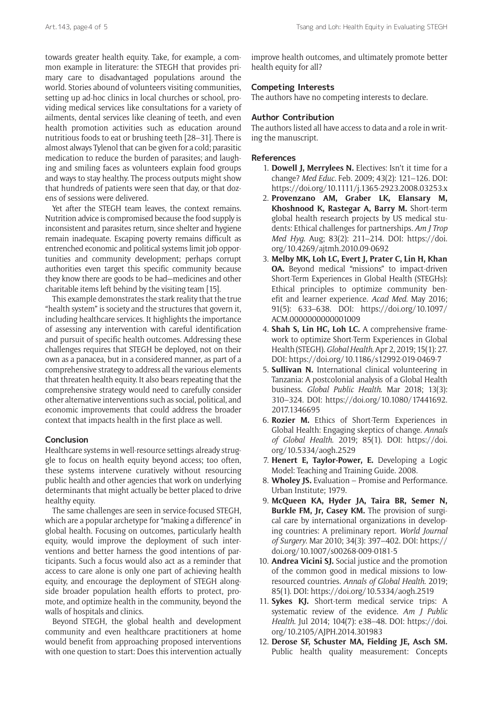towards greater health equity. Take, for example, a common example in literature: the STEGH that provides primary care to disadvantaged populations around the world. Stories abound of volunteers visiting communities, setting up ad-hoc clinics in local churches or school, providing medical services like consultations for a variety of ailments, dental services like cleaning of teeth, and even health promotion activities such as education around nutritious foods to eat or brushing teeth [28–31]. There is almost always Tylenol that can be given for a cold; parasitic medication to reduce the burden of parasites; and laughing and smiling faces as volunteers explain food groups and ways to stay healthy. The process outputs might show that hundreds of patients were seen that day, or that dozens of sessions were delivered.

Yet after the STEGH team leaves, the context remains. Nutrition advice is compromised because the food supply is inconsistent and parasites return, since shelter and hygiene remain inadequate. Escaping poverty remains difficult as entrenched economic and political systems limit job opportunities and community development; perhaps corrupt authorities even target this specific community because they know there are goods to be had—medicines and other charitable items left behind by the visiting team [15].

This example demonstrates the stark reality that the true "health system" is society and the structures that govern it, including healthcare services. It highlights the importance of assessing any intervention with careful identification and pursuit of specific health outcomes. Addressing these challenges requires that STEGH be deployed, not on their own as a panacea, but in a considered manner, as part of a comprehensive strategy to address all the various elements that threaten health equity. It also bears repeating that the comprehensive strategy would need to carefully consider other alternative interventions such as social, political, and economic improvements that could address the broader context that impacts health in the first place as well.

#### **Conclusion**

Healthcare systems in well-resource settings already struggle to focus on health equity beyond access; too often, these systems intervene curatively without resourcing public health and other agencies that work on underlying determinants that might actually be better placed to drive healthy equity.

The same challenges are seen in service-focused STEGH, which are a popular archetype for "making a difference" in global health. Focusing on outcomes, particularly health equity, would improve the deployment of such interventions and better harness the good intentions of participants. Such a focus would also act as a reminder that access to care alone is only one part of achieving health equity, and encourage the deployment of STEGH alongside broader population health efforts to protect, promote, and optimize health in the community, beyond the walls of hospitals and clinics.

Beyond STEGH, the global health and development community and even healthcare practitioners at home would benefit from approaching proposed interventions with one question to start: Does this intervention actually

improve health outcomes, and ultimately promote better health equity for all?

# **Competing Interests**

The authors have no competing interests to declare.

#### **Author Contribution**

The authors listed all have access to data and a role in writing the manuscript.

#### **References**

- 1. **Dowell J, Merrylees N.** Electives: Isn't it time for a change? *Med Educ.* Feb. 2009; 43(2): 121–126. DOI: <https://doi.org/10.1111/j.1365-2923.2008.03253.x>
- 2. **Provenzano AM, Graber LK, Elansary M, Khoshnood K, Rastegar A, Barry M.** Short-term global health research projects by US medical students: Ethical challenges for partnerships. *Am J Trop Med Hyg*. Aug; 83(2): 211–214. DOI: [https://doi.](https://doi.org/10.4269/ajtmh.2010.09-0692) [org/10.4269/ajtmh.2010.09-0692](https://doi.org/10.4269/ajtmh.2010.09-0692)
- 3. **Melby MK, Loh LC, Evert J, Prater C, Lin H, Khan OA.** Beyond medical "missions" to impact-driven Short-Term Experiences in Global Health (STEGHs): Ethical principles to optimize community benefit and learner experience. *Acad Med*. May 2016; 91(5): 633–638. DOI: [https://doi.org/10.1097/](https://doi.org/10.1097/ACM.0000000000001009) [ACM.0000000000001009](https://doi.org/10.1097/ACM.0000000000001009)
- 4. **Shah S, Lin HC, Loh LC.** A comprehensive framework to optimize Short-Term Experiences in Global Health (STEGH). *Global Health*. Apr 2, 2019; 15(1): 27. DOI:<https://doi.org/10.1186/s12992-019-0469-7>
- 5. **Sullivan N.** International clinical volunteering in Tanzania: A postcolonial analysis of a Global Health business. *Global Public Health*. Mar 2018; 13(3): 310–324. DOI: [https://doi.org/10.1080/17441692.](https://doi.org/10.1080/17441692.2017.1346695) [2017.1346695](https://doi.org/10.1080/17441692.2017.1346695)
- 6. **Rozier M.** Ethics of Short-Term Experiences in Global Health: Engaging skeptics of change. *Annals of Global Health*. 2019; 85(1). DOI: [https://doi.](https://doi.org/10.5334/aogh.2529) [org/10.5334/aogh.2529](https://doi.org/10.5334/aogh.2529)
- 7. **Henert E, Taylor-Power, E.** Developing a Logic Model: Teaching and Training Guide. 2008.
- 8. **Wholey JS.** Evaluation Promise and Performance*.* Urban Institute; 1979.
- 9. **McQueen KA, Hyder JA, Taira BR, Semer N, Burkle FM, Jr, Casey KM.** The provision of surgical care by international organizations in developing countries: A preliminary report. *World Journal of Surgery*. Mar 2010; 34(3): 397–402. DOI: [https://](https://doi.org/10.1007/s00268-009-0181-5) [doi.org/10.1007/s00268-009-0181-5](https://doi.org/10.1007/s00268-009-0181-5)
- 10. **Andrea Vicini SJ.** Social justice and the promotion of the common good in medical missions to lowresourced countries. *Annals of Global Health*. 2019; 85(1). DOI:<https://doi.org/10.5334/aogh.2519>
- 11. **Sykes KJ.** Short-term medical service trips: A systematic review of the evidence. *Am J Public Health*. Jul 2014; 104(7): e38–48. DOI: [https://doi.](https://doi.org/10.2105/AJPH.2014.301983) [org/10.2105/AJPH.2014.301983](https://doi.org/10.2105/AJPH.2014.301983)
- 12. **Derose SF, Schuster MA, Fielding JE, Asch SM.** Public health quality measurement: Concepts